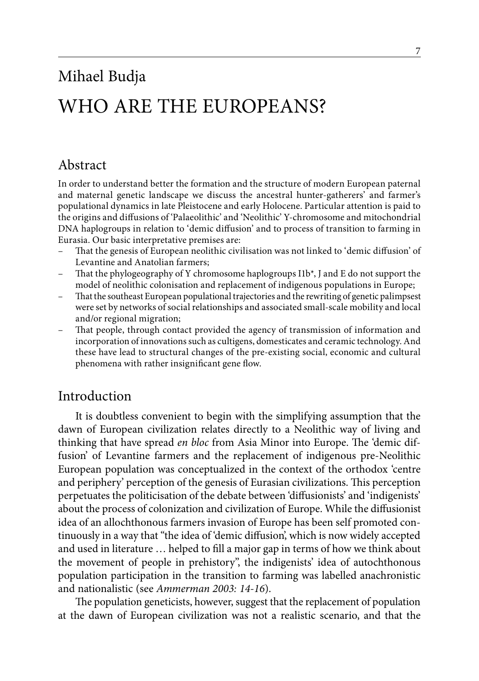# Mihael Budja WHO ARE THE EUROPEANS?

# Abstract

In order to understand better the formation and the structure of modern European paternal and maternal genetic landscape we discuss the ancestral hunter-gatherers' and farmer's populational dynamics in late Pleistocene and early Holocene. Particular attention is paid to the origins and diffusions of 'Palaeolithic' and 'Neolithic' Y-chromosome and mitochondrial DNA haplogroups in relation to 'demic diffusion' and to process of transition to farming in Eurasia. Our basic interpretative premises are:

- That the genesis of European neolithic civilisation was not linked to 'demic diffusion' of Levantine and Anatolian farmers;
- That the phylogeography of Y chromosome haplogroups I1b\*, J and E do not support the model of neolithic colonisation and replacement of indigenous populations in Europe;
- That the southeast European populational trajectories and the rewriting of genetic palimpsest were set by networks of social relationships and associated small-scale mobility and local and/or regional migration;
- That people, through contact provided the agency of transmission of information and incorporation of innovations such as cultigens, domesticates and ceramic technology. And these have lead to structural changes of the pre-existing social, economic and cultural phenomena with rather insignificant gene flow.

# Introduction

It is doubtless convenient to begin with the simplifying assumption that the dawn of European civilization relates directly to a Neolithic way of living and thinking that have spread *en bloc* from Asia Minor into Europe. The 'demic diffusion' of Levantine farmers and the replacement of indigenous pre-Neolithic European population was conceptualized in the context of the orthodox 'centre and periphery' perception of the genesis of Eurasian civilizations. This perception perpetuates the politicisation of the debate between 'diffusionists' and 'indigenists' about the process of colonization and civilization of Europe. While the diffusionist idea of an allochthonous farmers invasion of Europe has been self promoted continuously in a way that "the idea of 'demic diffusion', which is now widely accepted and used in literature … helped to fill a major gap in terms of how we think about the movement of people in prehistory", the indigenists' idea of autochthonous population participation in the transition to farming was labelled anachronistic and nationalistic (see *Ammerman 2003: 14-16*).

The population geneticists, however, suggest that the replacement of population at the dawn of European civilization was not a realistic scenario, and that the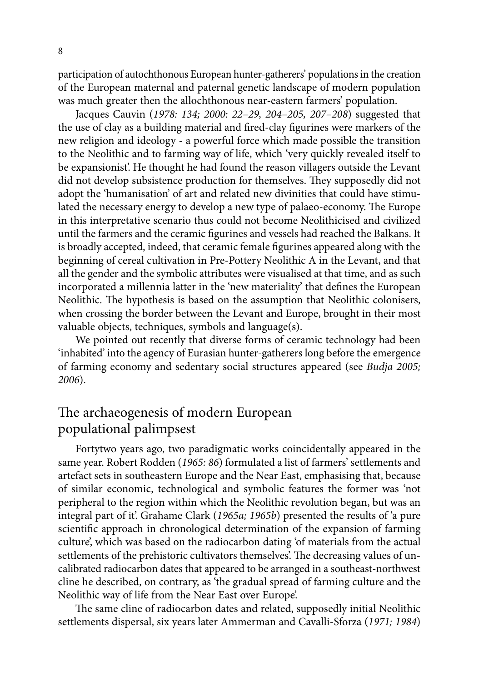participation of autochthonous European hunter-gatherers' populations in the creation of the European maternal and paternal genetic landscape of modern population was much greater then the allochthonous near-eastern farmers' population.

Jacques Cauvin (*1978: 134; 2000: 22–29, 204–205, 207–208*) suggested that the use of clay as a building material and fired-clay figurines were markers of the new religion and ideology - a powerful force which made possible the transition to the Neolithic and to farming way of life, which 'very quickly revealed itself to be expansionist'. He thought he had found the reason villagers outside the Levant did not develop subsistence production for themselves. They supposedly did not adopt the 'humanisation' of art and related new divinities that could have stimulated the necessary energy to develop a new type of palaeo-economy. The Europe in this interpretative scenario thus could not become Neolithicised and civilized until the farmers and the ceramic figurines and vessels had reached the Balkans. It is broadly accepted, indeed, that ceramic female figurines appeared along with the beginning of cereal cultivation in Pre-Pottery Neolithic A in the Levant, and that all the gender and the symbolic attributes were visualised at that time, and as such incorporated a millennia latter in the 'new materiality' that defines the European Neolithic. The hypothesis is based on the assumption that Neolithic colonisers, when crossing the border between the Levant and Europe, brought in their most valuable objects, techniques, symbols and language(s).

We pointed out recently that diverse forms of ceramic technology had been 'inhabited' into the agency of Eurasian hunter-gatherers long before the emergence of farming economy and sedentary social structures appeared (see *Budja 2005; 2006*).

# The archaeogenesis of modern European populational palimpsest

Fortytwo years ago, two paradigmatic works coincidentally appeared in the same year. Robert Rodden (*1965: 86*) formulated a list of farmers' settlements and artefact sets in southeastern Europe and the Near East, emphasising that, because of similar economic, technological and symbolic features the former was 'not peripheral to the region within which the Neolithic revolution began, but was an integral part of it'. Grahame Clark (*1965a; 1965b*) presented the results of 'a pure scientific approach in chronological determination of the expansion of farming culture', which was based on the radiocarbon dating 'of materials from the actual settlements of the prehistoric cultivators themselves'. The decreasing values of uncalibrated radiocarbon dates that appeared to be arranged in a southeast-northwest cline he described, on contrary, as 'the gradual spread of farming culture and the Neolithic way of life from the Near East over Europe'.

The same cline of radiocarbon dates and related, supposedly initial Neolithic settlements dispersal, six years later Ammerman and Cavalli-Sforza (*1971; 1984*)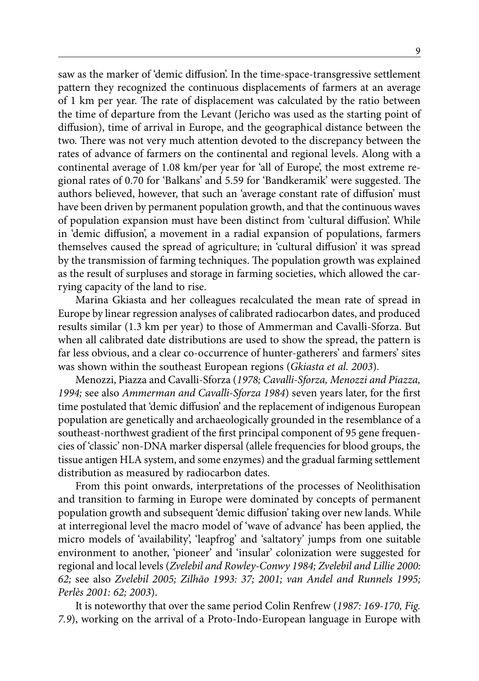saw as the marker of 'demic diffusion'. In the time-space-transgressive settlement pattern they recognized the continuous displacements of farmers at an average of 1 km per year. The rate of displacement was calculated by the ratio between the time of departure from the Levant (Jericho was used as the starting point of diffusion), time of arrival in Europe, and the geographical distance between the two. There was not very much attention devoted to the discrepancy between the rates of advance of farmers on the continental and regional levels. Along with a continental average of 1.08 km/per year for 'all of Europe', the most extreme regional rates of 0.70 for 'Balkans' and 5.59 for 'Bandkeramik' were suggested. The authors believed, however, that such an 'average constant rate of diffusion' must have been driven by permanent population growth, and that the continuous waves of population expansion must have been distinct from 'cultural diffusion'. While in 'demic diffusion', a movement in a radial expansion of populations, farmers themselves caused the spread of agriculture; in 'cultural diffusion' it was spread by the transmission of farming techniques. The population growth was explained as the result of surpluses and storage in farming societies, which allowed the carrying capacity of the land to rise.

Marina Gkiasta and her colleagues recalculated the mean rate of spread in Europe by linear regression analyses of calibrated radiocarbon dates, and produced results similar (1.3 km per year) to those of Ammerman and Cavalli-Sforza. But when all calibrated date distributions are used to show the spread, the pattern is far less obvious, and a clear co-occurrence of hunter-gatherers' and farmers' sites was shown within the southeast European regions (*Gkiasta et al. 2003*).

Menozzi, Piazza and Cavalli-Sforza (*1978; Cavalli-Sforza, Menozzi and Piazza, 1994;* see also *Ammerman and Cavalli-Sforza 1984*) seven years later, for the first time postulated that 'demic diffusion' and the replacement of indigenous European population are genetically and archaeologically grounded in the resemblance of a southeast-northwest gradient of the first principal component of 95 gene frequencies of 'classic' non-DNA marker dispersal (allele frequencies for blood groups, the tissue antigen HLA system, and some enzymes) and the gradual farming settlement distribution as measured by radiocarbon dates.

From this point onwards, interpretations of the processes of Neolithisation and transition to farming in Europe were dominated by concepts of permanent population growth and subsequent 'demic diffusion' taking over new lands. While at interregional level the macro model of 'wave of advance' has been applied, the micro models of 'availability', 'leapfrog' and 'saltatory' jumps from one suitable environment to another, 'pioneer' and 'insular' colonization were suggested for regional and local levels (*Zvelebil and Rowley-Conwy 1984; Zvelebil and Lillie 2000: 62;* see also *Zvelebil 2005; Zilhão 1993: 37; 2001; van Andel and Runnels 1995; Perlès 2001: 62; 2003*).

It is noteworthy that over the same period Colin Renfrew (*1987: 169-170, Fig. 7.9*), working on the arrival of a Proto-Indo-European language in Europe with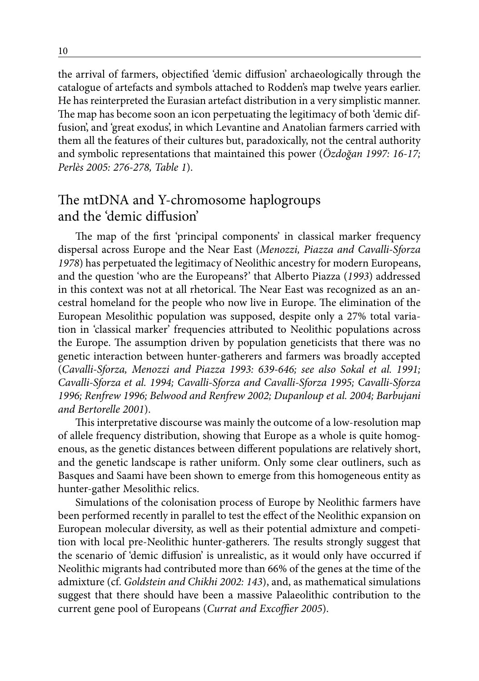the arrival of farmers, objectified 'demic diffusion' archaeologically through the catalogue of artefacts and symbols attached to Rodden's map twelve years earlier. He has reinterpreted the Eurasian artefact distribution in a very simplistic manner. The map has become soon an icon perpetuating the legitimacy of both 'demic diffusion', and 'great exodus', in which Levantine and Anatolian farmers carried with them all the features of their cultures but, paradoxically, not the central authority and symbolic representations that maintained this power (*Özdoğan 1997: 16-17; Perlès 2005: 276-278, Table 1*).

# The mtDNA and Y-chromosome haplogroups and the 'demic diffusion'

The map of the first 'principal components' in classical marker frequency dispersal across Europe and the Near East (*Menozzi, Piazza and Cavalli-Sforza 1978*) has perpetuated the legitimacy of Neolithic ancestry for modern Europeans, and the question 'who are the Europeans?' that Alberto Piazza (*1993*) addressed in this context was not at all rhetorical. The Near East was recognized as an ancestral homeland for the people who now live in Europe. The elimination of the European Mesolithic population was supposed, despite only a 27% total variation in 'classical marker' frequencies attributed to Neolithic populations across the Europe. The assumption driven by population geneticists that there was no genetic interaction between hunter-gatherers and farmers was broadly accepted (*Cavalli-Sforza, Menozzi and Piazza 1993: 639-646; see also Sokal et al. 1991; Cavalli-Sforza et al. 1994; Cavalli-Sforza and Cavalli-Sforza 1995; Cavalli-Sforza 1996; Renfrew 1996; Belwood and Renfrew 2002; Dupanloup et al. 2004; Barbujani and Bertorelle 2001*).

This interpretative discourse was mainly the outcome of a low-resolution map of allele frequency distribution, showing that Europe as a whole is quite homogenous, as the genetic distances between different populations are relatively short, and the genetic landscape is rather uniform. Only some clear outliners, such as Basques and Saami have been shown to emerge from this homogeneous entity as hunter-gather Mesolithic relics.

Simulations of the colonisation process of Europe by Neolithic farmers have been performed recently in parallel to test the effect of the Neolithic expansion on European molecular diversity, as well as their potential admixture and competition with local pre-Neolithic hunter-gatherers. The results strongly suggest that the scenario of 'demic diffusion' is unrealistic, as it would only have occurred if Neolithic migrants had contributed more than 66% of the genes at the time of the admixture (cf. *Goldstein and Chikhi 2002: 143*), and, as mathematical simulations suggest that there should have been a massive Palaeolithic contribution to the current gene pool of Europeans (*Currat and Excoffier 2005*).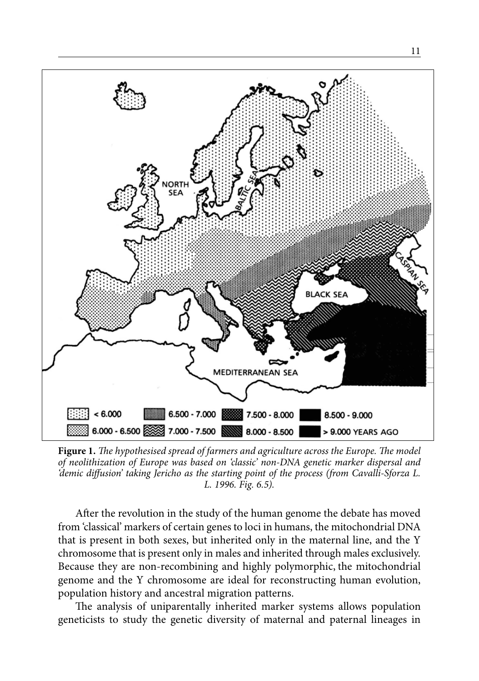

**Figure 1.** *The hypothesised spread of farmers and agriculture across the Europe. The model of neolithization of Europe was based on 'classic' non-DNA genetic marker dispersal and 'demic diffusion' taking Jericho as the starting point of the process (from Cavalli-Sforza L. L. 1996. Fig. 6.5).*

After the revolution in the study of the human genome the debate has moved from 'classical' markers of certain genes to loci in humans, the mitochondrial DNA that is present in both sexes, but inherited only in the maternal line, and the Y chromosome that is present only in males and inherited through males exclusively. Because they are non-recombining and highly polymorphic, the mitochondrial genome and the Y chromosome are ideal for reconstructing human evolution, population history and ancestral migration patterns.

The analysis of uniparentally inherited marker systems allows population geneticists to study the genetic diversity of maternal and paternal lineages in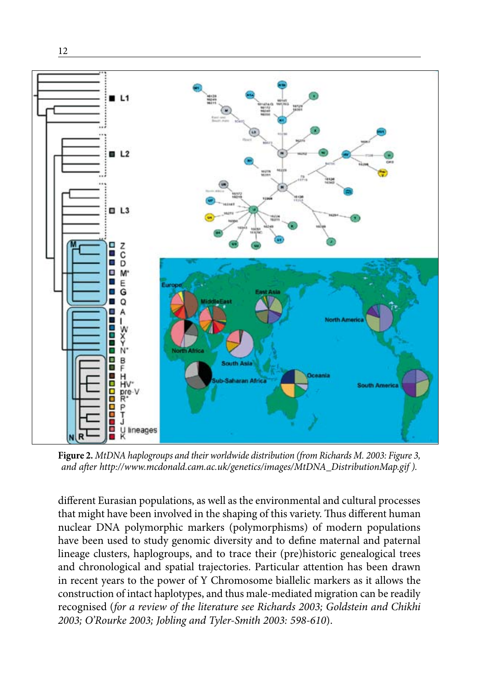

12

**Figure 2.** *MtDNA haplogroups and their worldwide distribution (from Richards M. 2003: Figure 3, and after http://www.mcdonald.cam.ac.uk/genetics/images/MtDNA\_DistributionMap.gif ).*

different Eurasian populations, as well as the environmental and cultural processes that might have been involved in the shaping of this variety. Thus different human nuclear DNA polymorphic markers (polymorphisms) of modern populations have been used to study genomic diversity and to define maternal and paternal lineage clusters, haplogroups, and to trace their (pre)historic genealogical trees and chronological and spatial trajectories. Particular attention has been drawn in recent years to the power of Y Chromosome biallelic markers as it allows the construction of intact haplotypes, and thus male-mediated migration can be readily recognised (*for a review of the literature see Richards 2003; Goldstein and Chikhi 2003; O'Rourke 2003; Jobling and Tyler-Smith 2003: 598-610*).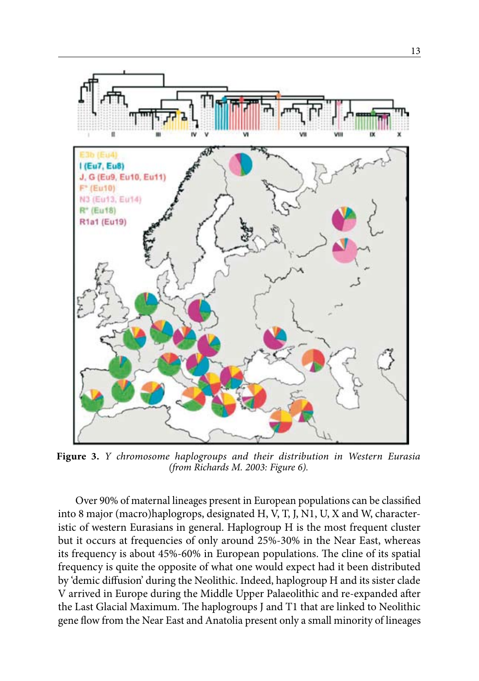

**Figure 3.** *Y chromosome haplogroups and their distribution in Western Eurasia (from Richards M. 2003: Figure 6).*

Over 90% of maternal lineages present in European populations can be classified into 8 major (macro)haplogrops, designated H, V, T, J, N1, U, X and W, characteristic of western Eurasians in general. Haplogroup H is the most frequent cluster but it occurs at frequencies of only around 25%-30% in the Near East, whereas its frequency is about 45%-60% in European populations. The cline of its spatial frequency is quite the opposite of what one would expect had it been distributed by 'demic diffusion' during the Neolithic. Indeed, haplogroup H and its sister clade V arrived in Europe during the Middle Upper Palaeolithic and re-expanded after the Last Glacial Maximum. The haplogroups J and T1 that are linked to Neolithic gene flow from the Near East and Anatolia present only a small minority of lineages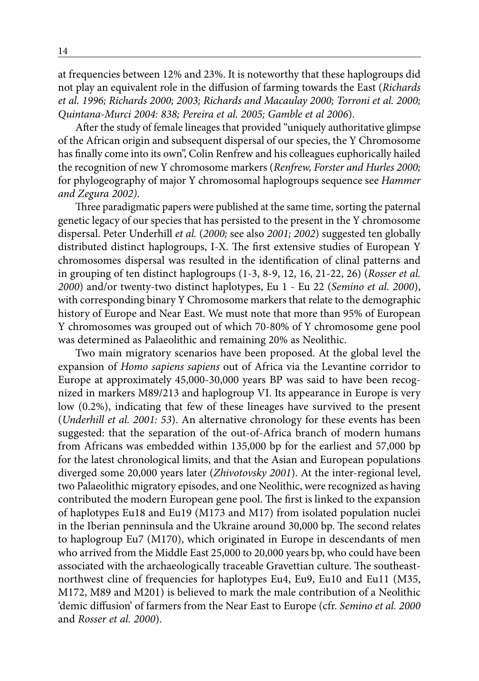at frequencies between 12% and 23%. It is noteworthy that these haplogroups did not play an equivalent role in the diffusion of farming towards the East (*Richards et al. 1996; Richards 2000; 2003; Richards and Macaulay 2000; Torroni et al. 2000; Quintana-Murci 2004: 838; Pereira et al. 2005; Gamble et al 2006*).

After the study of female lineages that provided "uniquely authoritative glimpse of the African origin and subsequent dispersal of our species, the Y Chromosome has finally come into its own", Colin Renfrew and his colleagues euphorically hailed the recognition of new Y chromosome markers (*Renfrew, Forster and Hurles 2000;* for phylogeography of major Y chromosomal haplogroups sequence see *Hammer and Zegura 2002)*.

Three paradigmatic papers were published at the same time, sorting the paternal genetic legacy of our species that has persisted to the present in the Y chromosome dispersal. Peter Underhill *et al.* (*2000;* see also *2001; 2002*) suggested ten globally distributed distinct haplogroups, I-X. The first extensive studies of European Y chromosomes dispersal was resulted in the identification of clinal patterns and in grouping of ten distinct haplogroups (1-3, 8-9, 12, 16, 21-22, 26) (*Rosser et al. 2000*) and/or twenty-two distinct haplotypes, Eu 1 - Eu 22 (*Semino et al. 2000*), with corresponding binary Y Chromosome markers that relate to the demographic history of Europe and Near East. We must note that more than 95% of European Y chromosomes was grouped out of which 70-80% of Y chromosome gene pool was determined as Palaeolithic and remaining 20% as Neolithic.

Two main migratory scenarios have been proposed. At the global level the expansion of *Homo sapiens sapiens* out of Africa via the Levantine corridor to Europe at approximately 45,000-30,000 years BP was said to have been recognized in markers M89/213 and haplogroup VI. Its appearance in Europe is very low (0.2%), indicating that few of these lineages have survived to the present (*Underhill et al. 2001: 53*). An alternative chronology for these events has been suggested: that the separation of the out-of-Africa branch of modern humans from Africans was embedded within 135,000 bp for the earliest and 57,000 bp for the latest chronological limits, and that the Asian and European populations diverged some 20,000 years later (*Zhivotovsky 2001*). At the inter-regional level, two Palaeolithic migratory episodes, and one Neolithic, were recognized as having contributed the modern European gene pool. The first is linked to the expansion of haplotypes Eu18 and Eu19 (M173 and M17) from isolated population nuclei in the Iberian penninsula and the Ukraine around 30,000 bp. The second relates to haplogroup Eu7 (M170), which originated in Europe in descendants of men who arrived from the Middle East 25,000 to 20,000 years bp, who could have been associated with the archaeologically traceable Gravettian culture. The southeastnorthwest cline of frequencies for haplotypes Eu4, Eu9, Eu10 and Eu11 (M35, M172, M89 and M201) is believed to mark the male contribution of a Neolithic 'demic diffusion' of farmers from the Near East to Europe (cfr. *Semino et al. 2000* and *Rosser et al. 2000*).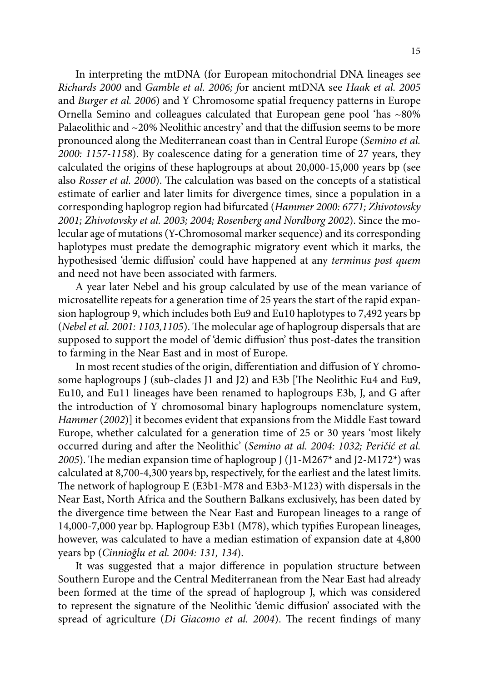In interpreting the mtDNA (for European mitochondrial DNA lineages see *Richards 2000* and *Gamble et al. 2006; f*or ancient mtDNA see *Haak et al. 2005*  and *Burger et al. 2006*) and Y Chromosome spatial frequency patterns in Europe Ornella Semino and colleagues calculated that European gene pool 'has ~80% Palaeolithic and ~20% Neolithic ancestry' and that the diffusion seems to be more pronounced along the Mediterranean coast than in Central Europe (*Semino et al. 2000: 1157-1158*). By coalescence dating for a generation time of 27 years, they calculated the origins of these haplogroups at about 20,000-15,000 years bp (see also *Rosser et al. 2000*). The calculation was based on the concepts of a statistical estimate of earlier and later limits for divergence times, since a population in a corresponding haplogrop region had bifurcated (*Hammer 2000: 6771; Zhivotovsky 2001; Zhivotovsky et al. 2003; 2004; Rosenberg and Nordborg 2002*). Since the molecular age of mutations (Y-Chromosomal marker sequence) and its corresponding haplotypes must predate the demographic migratory event which it marks, the hypothesised 'demic diffusion' could have happened at any *terminus post quem* and need not have been associated with farmers.

A year later Nebel and his group calculated by use of the mean variance of microsatellite repeats for a generation time of 25 years the start of the rapid expansion haplogroup 9, which includes both Eu9 and Eu10 haplotypes to 7,492 years bp (*Nebel et al. 2001: 1103,1105*). The molecular age of haplogroup dispersals that are supposed to support the model of 'demic diffusion' thus post-dates the transition to farming in the Near East and in most of Europe.

In most recent studies of the origin, differentiation and diffusion of Y chromosome haplogroups J (sub-clades J1 and J2) and E3b [The Neolithic Eu4 and Eu9, Eu10, and Eu11 lineages have been renamed to haplogroups E3b, J, and G after the introduction of Y chromosomal binary haplogroups nomenclature system, *Hammer (2002)*] it becomes evident that expansions from the Middle East toward Europe, whether calculated for a generation time of 25 or 30 years 'most likely occurred during and after the Neolithic' (*Semino at al. 2004: 1032; Peričić et al. 2005*). The median expansion time of haplogroup J (J1-M267\* and J2-M172\*) was calculated at 8,700-4,300 years bp, respectively, for the earliest and the latest limits. The network of haplogroup E (E3b1-M78 and E3b3-M123) with dispersals in the Near East, North Africa and the Southern Balkans exclusively, has been dated by the divergence time between the Near East and European lineages to a range of 14,000-7,000 year bp. Haplogroup E3b1 (M78), which typifies European lineages, however, was calculated to have a median estimation of expansion date at 4,800 years bp (*Cinnioğlu et al. 2004: 131, 134*).

It was suggested that a major difference in population structure between Southern Europe and the Central Mediterranean from the Near East had already been formed at the time of the spread of haplogroup J, which was considered to represent the signature of the Neolithic 'demic diffusion' associated with the spread of agriculture (*Di Giacomo et al. 2004*). The recent findings of many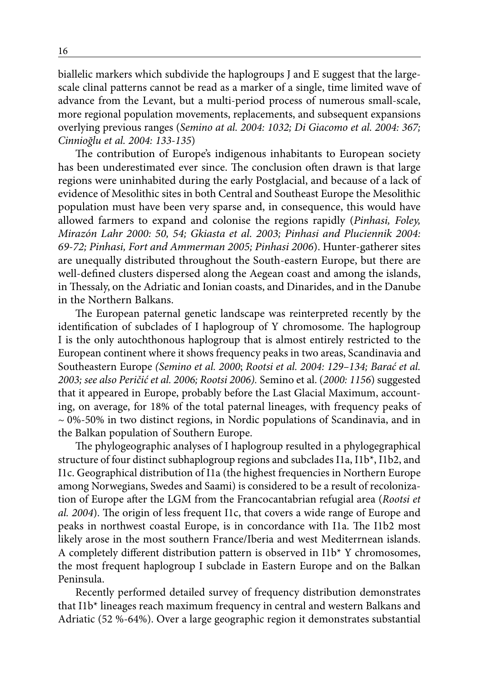biallelic markers which subdivide the haplogroups J and E suggest that the largescale clinal patterns cannot be read as a marker of a single, time limited wave of advance from the Levant, but a multi-period process of numerous small-scale, more regional population movements, replacements, and subsequent expansions overlying previous ranges (*Semino at al. 2004: 1032; Di Giacomo et al. 2004: 367; Cinnioğlu et al. 2004: 133-135*)

The contribution of Europe's indigenous inhabitants to European society has been underestimated ever since. The conclusion often drawn is that large regions were uninhabited during the early Postglacial, and because of a lack of evidence of Mesolithic sites in both Central and Southeast Europe the Mesolithic population must have been very sparse and, in consequence, this would have allowed farmers to expand and colonise the regions rapidly (*Pinhasi, Foley, Mirazón Lahr 2000: 50, 54; Gkiasta et al. 2003; Pinhasi and Pluciennik 2004: 69-72; Pinhasi, Fort and Ammerman 2005; Pinhasi 2006*). Hunter-gatherer sites are unequally distributed throughout the South-eastern Europe, but there are well-defined clusters dispersed along the Aegean coast and among the islands, in Thessaly, on the Adriatic and Ionian coasts, and Dinarides, and in the Danube in the Northern Balkans.

The European paternal genetic landscape was reinterpreted recently by the identification of subclades of I haplogroup of Y chromosome. The haplogroup I is the only autochthonous haplogroup that is almost entirely restricted to the European continent where it shows frequency peaks in two areas, Scandinavia and Southeastern Europe *(Semino et al. 2000*; *Rootsi et al. 2004: 129–134; Barać et al. 2003; see also Peričić et al. 2006; Rootsi 2006).* Semino et al. (*2000: 1156*) suggested that it appeared in Europe, probably before the Last Glacial Maximum, accounting, on average, for 18% of the total paternal lineages, with frequency peaks of  $\sim$  0%-50% in two distinct regions, in Nordic populations of Scandinavia, and in the Balkan population of Southern Europe.

The phylogeographic analyses of I haplogroup resulted in a phylogegraphical structure of four distinct subhaplogroup regions and subclades I1a, I1b\*, I1b2, and I1c. Geographical distribution of I1a (the highest frequencies in Northern Europe among Norwegians, Swedes and Saami) is considered to be a result of recolonization of Europe after the LGM from the Francocantabrian refugial area (*Rootsi et al. 2004*). The origin of less frequent I1c, that covers a wide range of Europe and peaks in northwest coastal Europe, is in concordance with I1a. The I1b2 most likely arose in the most southern France/Iberia and west Mediterrnean islands. A completely different distribution pattern is observed in I1b\* Y chromosomes, the most frequent haplogroup I subclade in Eastern Europe and on the Balkan Peninsula.

Recently performed detailed survey of frequency distribution demonstrates that I1b\* lineages reach maximum frequency in central and western Balkans and Adriatic (52 %-64%). Over a large geographic region it demonstrates substantial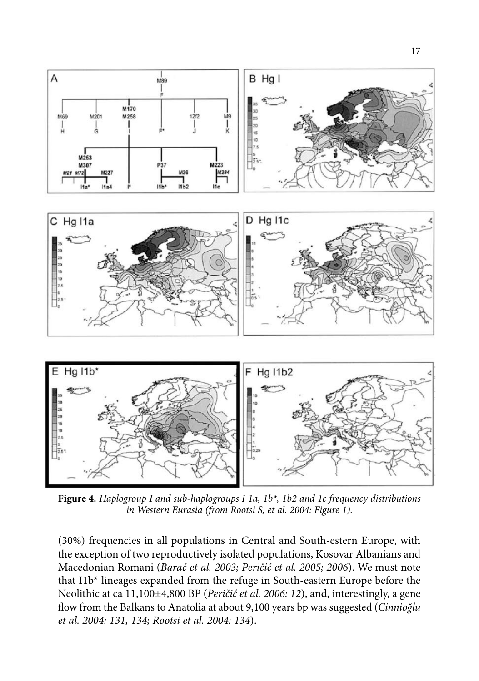

**Figure 4.** *Haplogroup I and sub-haplogroups I 1a, 1b\*, 1b2 and 1c frequency distributions in Western Eurasia (from Rootsi S, et al. 2004: Figure 1).* 

(30%) frequencies in all populations in Central and South-estern Europe, with the exception of two reproductively isolated populations, Kosovar Albanians and Macedonian Romani (*Barać et al. 2003; Peričić et al. 2005; 2006*). We must note that I1b\* lineages expanded from the refuge in South-eastern Europe before the Neolithic at ca 11,100±4,800 BP (*Peričić et al. 2006: 12*), and, interestingly, a gene flow from the Balkans to Anatolia at about 9,100 years bp was suggested (*Cinnioğlu et al. 2004: 131, 134; Rootsi et al. 2004: 134*).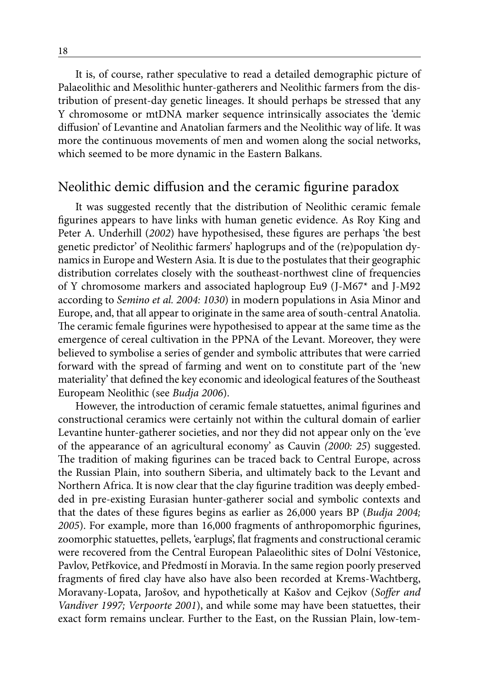It is, of course, rather speculative to read a detailed demographic picture of Palaeolithic and Mesolithic hunter-gatherers and Neolithic farmers from the distribution of present-day genetic lineages. It should perhaps be stressed that any Y chromosome or mtDNA marker sequence intrinsically associates the 'demic diffusion' of Levantine and Anatolian farmers and the Neolithic way of life. It was more the continuous movements of men and women along the social networks, which seemed to be more dynamic in the Eastern Balkans.

#### Neolithic demic diffusion and the ceramic figurine paradox

It was suggested recently that the distribution of Neolithic ceramic female figurines appears to have links with human genetic evidence. As Roy King and Peter A. Underhill (*2002*) have hypothesised, these figures are perhaps 'the best genetic predictor' of Neolithic farmers' haplogrups and of the (re)population dynamics in Europe and Western Asia. It is due to the postulates that their geographic distribution correlates closely with the southeast-northwest cline of frequencies of Y chromosome markers and associated haplogroup Eu9 (J-M67\* and J-M92 according to *Semino et al. 2004: 1030*) in modern populations in Asia Minor and Europe, and, that all appear to originate in the same area of south-central Anatolia. The ceramic female figurines were hypothesised to appear at the same time as the emergence of cereal cultivation in the PPNA of the Levant. Moreover, they were believed to symbolise a series of gender and symbolic attributes that were carried forward with the spread of farming and went on to constitute part of the 'new materiality' that defined the key economic and ideological features of the Southeast Europeam Neolithic (see *Budja 2006*).

However, the introduction of ceramic female statuettes, animal figurines and constructional ceramics were certainly not within the cultural domain of earlier Levantine hunter-gatherer societies, and nor they did not appear only on the 'eve of the appearance of an agricultural economy' as Cauvin *(2000: 25*) suggested. The tradition of making figurines can be traced back to Central Europe, across the Russian Plain, into southern Siberia, and ultimately back to the Levant and Northern Africa. It is now clear that the clay figurine tradition was deeply embedded in pre-existing Eurasian hunter-gatherer social and symbolic contexts and that the dates of these figures begins as earlier as 26,000 years BP (*Budja 2004; 2005*). For example, more than 16,000 fragments of anthropomorphic figurines, zoomorphic statuettes, pellets, 'earplugs', flat fragments and constructional ceramic were recovered from the Central European Palaeolithic sites of Dolní Vĕstonice, Pavlov, Petřkovice, and Předmostí in Moravia. In the same region poorly preserved fragments of fired clay have also have also been recorded at Krems-Wachtberg, Moravany-Lopata, Jarošov, and hypothetically at Kašov and Cejkov (*Soffer and Vandiver 1997; Verpoorte 2001*), and while some may have been statuettes, their exact form remains unclear. Further to the East, on the Russian Plain, low-tem-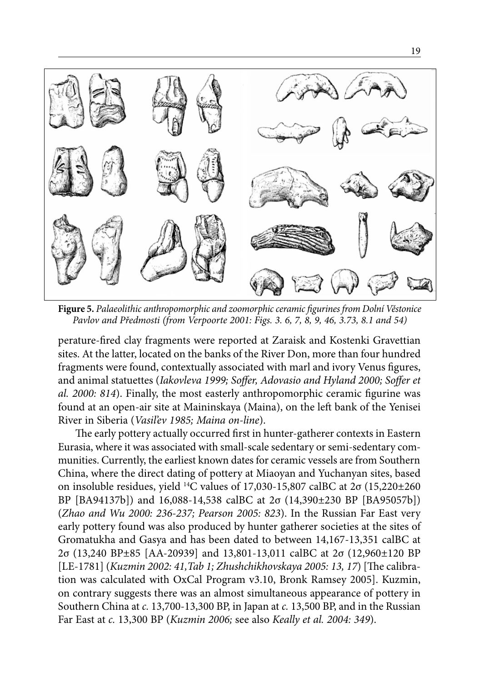

**Figure 5.** *Palaeolithic anthropomorphic and zoomorphic ceramic figurines from Dolní Věstonice Pavlov and Předmosti (from Verpoorte 2001: Figs. 3. 6, 7, 8, 9, 46, 3.73, 8.1 and 54)*

perature-fired clay fragments were reported at Zaraisk and Kostenki Gravettian sites. At the latter, located on the banks of the River Don, more than four hundred fragments were found, contextually associated with marl and ivory Venus figures, and animal statuettes (*Iakovleva 1999; Soffer, Adovasio and Hyland 2000; Soffer et al. 2000: 814*). Finally, the most easterly anthropomorphic ceramic figurine was found at an open-air site at Maininskaya (Maina), on the left bank of the Yenisei River in Siberia (*Vasil'ev 1985; Maina on-line*).

The early pottery actually occurred first in hunter-gatherer contexts in Eastern Eurasia, where it was associated with small-scale sedentary or semi-sedentary communities. Currently, the earliest known dates for ceramic vessels are from Southern China, where the direct dating of pottery at Miaoyan and Yuchanyan sites, based on insoluble residues, yield <sup>14</sup>C values of 17,030-15,807 calBC at  $2\sigma$  (15,220±260 BP [BA94137b]) and 16,088-14,538 calBC at 2σ (14,390±230 BP [BA95057b]) (*Zhao and Wu 2000: 236-237; Pearson 2005: 823*). In the Russian Far East very early pottery found was also produced by hunter gatherer societies at the sites of Gromatukha and Gasya and has been dated to between 14,167-13,351 calBC at 2σ (13,240 BP±85 [AA-20939] and 13,801-13,011 calBC at 2σ (12,960±120 BP [LE-1781] (*Kuzmin 2002: 41,Tab 1; Zhushchikhovskaya 2005: 13, 17*) [The calibration was calculated with OxCal Program v3.10, Bronk Ramsey 2005]. Kuzmin, on contrary suggests there was an almost simultaneous appearance of pottery in Southern China at *c.* 13,700-13,300 BP, in Japan at *c.* 13,500 BP, and in the Russian Far East at *c.* 13,300 BP (*Kuzmin 2006;* see also *Keally et al. 2004: 349*).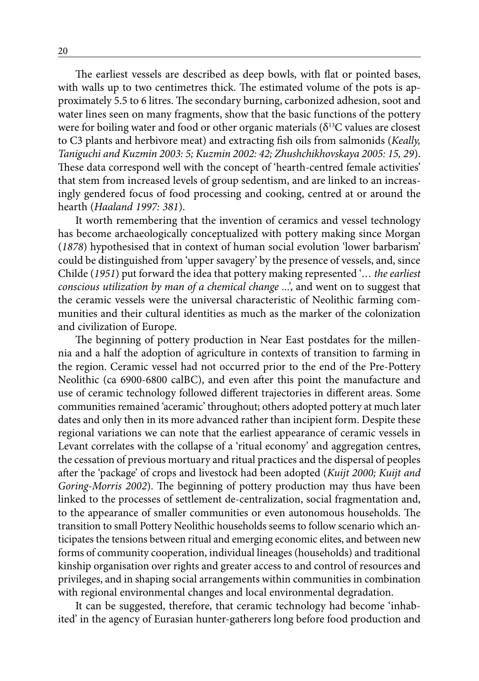The earliest vessels are described as deep bowls, with flat or pointed bases, with walls up to two centimetres thick. The estimated volume of the pots is approximately 5.5 to 6 litres. The secondary burning, carbonized adhesion, soot and water lines seen on many fragments, show that the basic functions of the pottery were for boiling water and food or other organic materials ( $\delta^{13}$ C values are closest to C3 plants and herbivore meat) and extracting fish oils from salmonids (*Keally, Taniguchi and Kuzmin 2003: 5; Kuzmin 2002: 42; Zhushchikhovskaya 2005: 15, 29*). These data correspond well with the concept of 'hearth-centred female activities' that stem from increased levels of group sedentism, and are linked to an increasingly gendered focus of food processing and cooking, centred at or around the hearth (*Haaland 1997: 381*).

It worth remembering that the invention of ceramics and vessel technology has become archaeologically conceptualized with pottery making since Morgan (*1878*) hypothesised that in context of human social evolution 'lower barbarism' could be distinguished from 'upper savagery' by the presence of vessels, and, since Childe (*1951*) put forward the idea that pottery making represented '*… the earliest conscious utilization by man of a chemical change ...'*, and went on to suggest that the ceramic vessels were the universal characteristic of Neolithic farming communities and their cultural identities as much as the marker of the colonization and civilization of Europe.

The beginning of pottery production in Near East postdates for the millennia and a half the adoption of agriculture in contexts of transition to farming in the region. Ceramic vessel had not occurred prior to the end of the Pre-Pottery Neolithic (ca 6900-6800 calBC), and even after this point the manufacture and use of ceramic technology followed different trajectories in different areas. Some communities remained 'aceramic' throughout; others adopted pottery at much later dates and only then in its more advanced rather than incipient form. Despite these regional variations we can note that the earliest appearance of ceramic vessels in Levant correlates with the collapse of a 'ritual economy' and aggregation centres, the cessation of previous mortuary and ritual practices and the dispersal of peoples after the 'package' of crops and livestock had been adopted (*Kuijt 2000; Kuijt and Goring-Morris 2002*). The beginning of pottery production may thus have been linked to the processes of settlement de-centralization, social fragmentation and, to the appearance of smaller communities or even autonomous households. The transition to small Pottery Neolithic households seems to follow scenario which anticipates the tensions between ritual and emerging economic elites, and between new forms of community cooperation, individual lineages (households) and traditional kinship organisation over rights and greater access to and control of resources and privileges, and in shaping social arrangements within communities in combination with regional environmental changes and local environmental degradation.

It can be suggested, therefore, that ceramic technology had become 'inhabited' in the agency of Eurasian hunter-gatherers long before food production and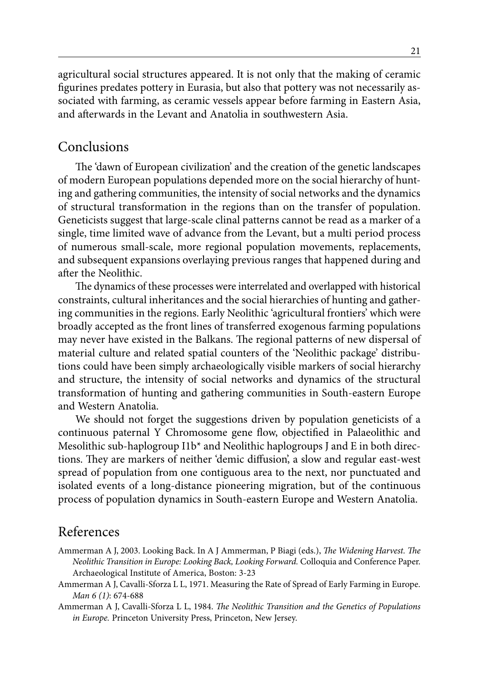agricultural social structures appeared. It is not only that the making of ceramic figurines predates pottery in Eurasia, but also that pottery was not necessarily associated with farming, as ceramic vessels appear before farming in Eastern Asia, and afterwards in the Levant and Anatolia in southwestern Asia.

### Conclusions

The 'dawn of European civilization' and the creation of the genetic landscapes of modern European populations depended more on the social hierarchy of hunting and gathering communities, the intensity of social networks and the dynamics of structural transformation in the regions than on the transfer of population. Geneticists suggest that large-scale clinal patterns cannot be read as a marker of a single, time limited wave of advance from the Levant, but a multi period process of numerous small-scale, more regional population movements, replacements, and subsequent expansions overlaying previous ranges that happened during and after the Neolithic.

The dynamics of these processes were interrelated and overlapped with historical constraints, cultural inheritances and the social hierarchies of hunting and gathering communities in the regions. Early Neolithic 'agricultural frontiers' which were broadly accepted as the front lines of transferred exogenous farming populations may never have existed in the Balkans. The regional patterns of new dispersal of material culture and related spatial counters of the 'Neolithic package' distributions could have been simply archaeologically visible markers of social hierarchy and structure, the intensity of social networks and dynamics of the structural transformation of hunting and gathering communities in South-eastern Europe and Western Anatolia.

We should not forget the suggestions driven by population geneticists of a continuous paternal Y Chromosome gene flow, objectified in Palaeolithic and Mesolithic sub-haplogroup  $11b^*$  and Neolithic haplogroups J and E in both directions. They are markers of neither 'demic diffusion', a slow and regular east-west spread of population from one contiguous area to the next, nor punctuated and isolated events of a long-distance pioneering migration, but of the continuous process of population dynamics in South-eastern Europe and Western Anatolia.

#### References

- Ammerman A J, 2003. Looking Back. In A J Ammerman, P Biagi (eds.), *The Widening Harvest. The Neolithic Transition in Europe: Looking Back, Looking Forward.* Colloquia and Conference Paper. Archaeological Institute of America, Boston: 3-23
- Ammerman A J, Cavalli-Sforza L L, 1971. Measuring the Rate of Spread of Early Farming in Europe. *Man 6 (1)*: 674-688
- Ammerman A J, Cavalli-Sforza L L, 1984. *The Neolithic Transition and the Genetics of Populations in Europe.* Princeton University Press, Princeton, New Jersey.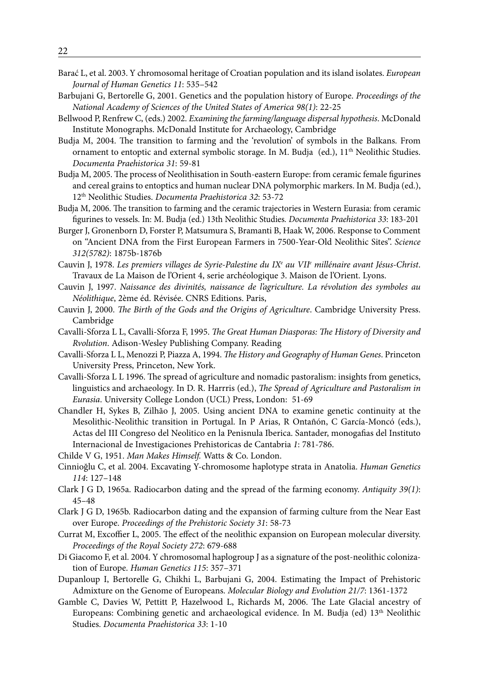- Barać L, et al. 2003. Y chromosomal heritage of Croatian population and its island isolates. *European Journal of Human Genetics 11*: 535–542
- Barbujani G, Bertorelle G, 2001. Genetics and the population history of Europe. *Proceedings of the National Academy of Sciences of the United States of America 98(1)*: 22-25
- Bellwood P, Renfrew C, (eds.) 2002. *Examining the farming/language dispersal hypothesis*. McDonald Institute Monographs. McDonald Institute for Archaeology, Cambridge
- Budja M, 2004. The transition to farming and the 'revolution' of symbols in the Balkans. From ornament to entoptic and external symbolic storage. In M. Budja (ed.), 11<sup>th</sup> Neolithic Studies. *Documenta Praehistorica 31*: 59-81
- Budja M, 2005. The process of Neolithisation in South-eastern Europe: from ceramic female figurines and cereal grains to entoptics and human nuclear DNA polymorphic markers. In M. Budja (ed.), 12th Neolithic Studies. *Documenta Praehistorica 32*: 53-72
- Budja M, 2006. The transition to farming and the ceramic trajectories in Western Eurasia: from ceramic figurines to vessels. In: M. Budja (ed.) 13th Neolithic Studies*. Documenta Praehistorica 33*: 183-201
- Burger J, Gronenborn D, Forster P, Matsumura S, Bramanti B, Haak W, 2006. Response to Comment on ''Ancient DNA from the First European Farmers in 7500-Year-Old Neolithic Sites''. *Science 312(5782)*: 1875b-1876b
- Cauvin J, 1978. *Les premiers villages de Syrie-Palestine du IXe au VIIe millénaire avant Jésus-Christ*. Travaux de La Maison de l'Orient 4, serie archéologique 3. Maison de l'Orient. Lyons.
- Cauvin J, 1997. *Naissance des divinités, naissance de l'agriculture. La révolution des symboles au Néolithique*, 2ème éd. Révisée. CNRS Editions. Paris,
- Cauvin J, 2000. *The Birth of the Gods and the Origins of Agriculture*. Cambridge University Press. Cambridge
- Cavalli-Sforza L L, Cavalli-Sforza F, 1995. *The Great Human Diasporas: The History of Diversity and Rvolution*. Adison-Wesley Publishing Company. Reading
- Cavalli-Sforza L L, Menozzi P, Piazza A, 1994. *The History and Geography of Human Genes*. Princeton University Press, Princeton, New York.
- Cavalli-Sforza L L 1996. The spread of agriculture and nomadic pastoralism: insights from genetics, linguistics and archaeology. In D. R. Harrris (ed.), *The Spread of Agriculture and Pastoralism in Eurasia*. University College London (UCL) Press, London: 51-69
- Chandler H, Sykes B, Zilhão J, 2005. Using ancient DNA to examine genetic continuity at the Mesolithic-Neolithic transition in Portugal. In P Arias, R Ontañón, C García-Moncó (eds.), Actas del III Congreso del Neolitico en la Penisnula Iberica. Santader, monogafias del Instituto Internacional de Investigaciones Prehistoricas de Cantabria *1*: 781-786.
- Childe V G, 1951. *Man Makes Himself.* Watts & Co. London.
- Cinnioğlu C, et al. 2004. Excavating Y-chromosome haplotype strata in Anatolia. *Human Genetics 114*: 127–148
- Clark J G D, 1965a. Radiocarbon dating and the spread of the farming economy. *Antiquity 39(1)*: 45–48
- Clark J G D, 1965b. Radiocarbon dating and the expansion of farming culture from the Near East over Europe. *Proceedings of the Prehistoric Society 31*: 58-73
- Currat M, Excoffier L, 2005. The effect of the neolithic expansion on European molecular diversity. *Proceedings of the Royal Society 272*: 679-688
- Di Giacomo F, et al. 2004. Y chromosomal haplogroup J as a signature of the post-neolithic colonization of Europe. *Human Genetics 115*: 357–371
- Dupanloup I, Bertorelle G, Chikhi L, Barbujani G, 2004. Estimating the Impact of Prehistoric Admixture on the Genome of Europeans. *Molecular Biology and Evolution 21/7*: 1361-1372
- Gamble C, Davies W, Pettitt P, Hazelwood L, Richards M, 2006. The Late Glacial ancestry of Europeans: Combining genetic and archaeological evidence. In M. Budja (ed) 13<sup>th</sup> Neolithic Studies. *Documenta Praehistorica 33*: 1-10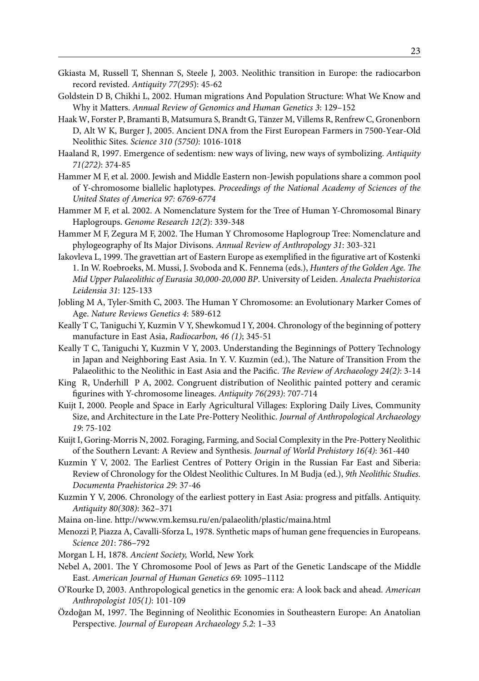- Gkiasta M, Russell T, Shennan S, Steele J, 2003. Neolithic transition in Europe: the radiocarbon record revisted. *Antiquity 77(295*): 45-62
- Goldstein D B, Chikhi L, 2002. Human migrations And Population Structure: What We Know and Why it Matters. *Annual Review of Genomics and Human Genetics 3*: 129–152
- Haak W, Forster P, Bramanti B, Matsumura S, Brandt G, Tänzer M, Villems R, Renfrew C, Gronenborn D, Alt W K, Burger J, 2005. Ancient DNA from the First European Farmers in 7500-Year-Old Neolithic Sites. *Science 310 (5750)*: 1016-1018
- Haaland R, 1997. Emergence of sedentism: new ways of living, new ways of symbolizing. *Antiquity 71(272)*: 374-85
- Hammer M F, et al. 2000. Jewish and Middle Eastern non-Jewish populations share a common pool of Y-chromosome biallelic haplotypes. *Proceedings of the National Academy of Sciences of the United States of America 97: 6769-6774*
- Hammer M F, et al. 2002. A Nomenclature System for the Tree of Human Y-Chromosomal Binary Haplogroups. *Genome Research 12(2*): 339-348
- Hammer M F, Zegura M F, 2002. The Human Y Chromosome Haplogroup Tree: Nomenclature and phylogeography of Its Major Divisons. *Annual Review of Anthropology 31*: 303-321
- Iakovleva L, 1999. The gravettian art of Eastern Europe as exemplified in the figurative art of Kostenki 1. In W. Roebroeks, M. Mussi, J. Svoboda and K. Fennema (eds.), *Hunters of the Golden Age. The Mid Upper Palaeolithic of Eurasia 30,000-20,000 BP*. University of Leiden. *Analecta Praehistorica Leidensia 31*: 125-133
- Jobling M A, Tyler-Smith C, 2003. The Human Y Chromosome: an Evolutionary Marker Comes of Age. *Nature Reviews Genetics 4*: 589-612
- Keally T C, Taniguchi Y, Kuzmin V Y, Shewkomud I Y, 2004. Chronology of the beginning of pottery manufacture in East Asia, *Radiocarbon, 46 (1)*; 345-51
- Keally T C, Taniguchi Y, Kuzmin V Y, 2003. Understanding the Beginnings of Pottery Technology in Japan and Neighboring East Asia. In Y. V. Kuzmin (ed.), The Nature of Transition From the Palaeolithic to the Neolithic in East Asia and the Pacific. *The Review of Archaeology 24(2)*: 3-14
- King R, Underhill P A, 2002. Congruent distribution of Neolithic painted pottery and ceramic figurines with Y-chromosome lineages. *Antiquity 76(293)*: 707-714
- Kuijt I, 2000. People and Space in Early Agricultural Villages: Exploring Daily Lives, Community Size, and Architecture in the Late Pre-Pottery Neolithic. *Journal of Anthropological Archaeology 19*: 75-102
- Kuijt I, Goring-Morris N, 2002. Foraging, Farming, and Social Complexity in the Pre-Pottery Neolithic of the Southern Levant: A Review and Synthesis. *Journal of World Prehistory 16(4)*: 361-440
- Kuzmin Y V, 2002. The Earliest Centres of Pottery Origin in the Russian Far East and Siberia: Review of Chronology for the Oldest Neolithic Cultures. In M Budja (ed.), *9th Neolithic Studies. Documenta Praehistorica 29*: 37-46
- Kuzmin Y V, 2006. Chronology of the earliest pottery in East Asia: progress and pitfalls. Antiquity. *Antiquity 80(308)*: 362–371
- Maina on-line. http://www.vm.kemsu.ru/en/palaeolith/plastic/maina.html
- Menozzi P, Piazza A, Cavalli-Sforza L, 1978. Synthetic maps of human gene frequencies in Europeans. *Science 201*: 786–792
- Morgan L H, 1878. *Ancient Society,* World, New York
- Nebel A, 2001. The Y Chromosome Pool of Jews as Part of the Genetic Landscape of the Middle East. *American Journal of Human Genetics 69*: 1095–1112
- O'Rourke D, 2003. Anthropological genetics in the genomic era: A look back and ahead. *American Anthropologist 105(1)*: 101-109
- Özdoğan M, 1997. The Beginning of Neolithic Economies in Southeastern Europe: An Anatolian Perspective. *Journal of European Archaeology 5.2*: 1–33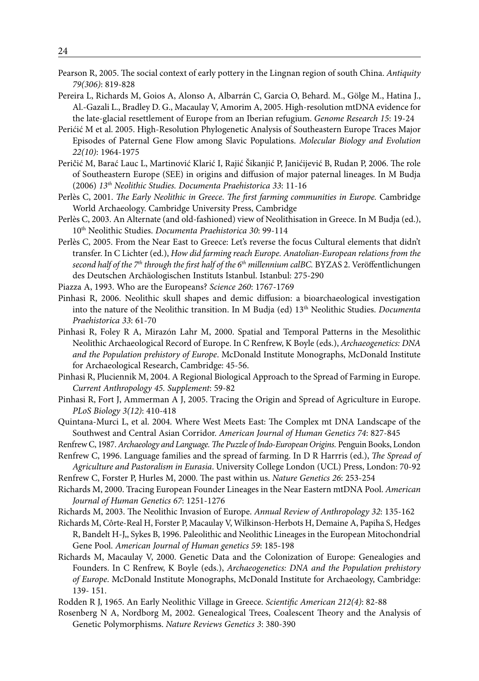- Pearson R, 2005. The social context of early pottery in the Lingnan region of south China. *Antiquity 79(306)*: 819-828
- Pereira L, Richards M, Goios A, Alonso A, Albarrán C, Garcia O, Behard. M., Gölge M., Hatina J., Al.-Gazali L., Bradley D. G., Macaulay V, Amorim A, 2005. High-resolution mtDNA evidence for the late-glacial resettlement of Europe from an Iberian refugium. *Genome Research 15*: 19-24
- Perićić M et al. 2005. High-Resolution Phylogenetic Analysis of Southeastern Europe Traces Major Episodes of Paternal Gene Flow among Slavic Populations. *Molecular Biology and Evolution 22(10)*: 1964-1975
- Peričić M, Barać Lauc L, Martinović Klarić I, Rajić Šikanjić P, Janićijević B, Rudan P, 2006. The role of Southeastern Europe (SEE) in origins and diffusion of major paternal lineages. In M Budja (2006) *13th Neolithic Studies. Documenta Praehistorica 33*: 11-16
- Perlès C, 2001. *The Early Neolithic in Greece*. *The first farming communities in Europe.* Cambridge World Archaeology. Cambridge University Press, Cambridge
- Perlès C, 2003. An Alternate (and old-fashioned) view of Neolithisation in Greece. In M Budja (ed.), 10th Neolithic Studies. *Documenta Praehistorica 30*: 99-114
- Perlès C, 2005. From the Near East to Greece: Let's reverse the focus Cultural elements that didn't transfer. In C Lichter (ed.), *How did farming reach Europe. Anatolian-European relations from the second half of the 7th through the first half of the 6th millennium calBC.* BYZAS 2. Veröffentlichungen des Deutschen Archäologischen Instituts Istanbul. Istanbul: 275-290
- Piazza A, 1993. Who are the Europeans? *Science 260*: 1767-1769
- Pinhasi R, 2006. Neolithic skull shapes and demic diffusion: a bioarchaeological investigation into the nature of the Neolithic transition. In M Budja (ed) 13<sup>th</sup> Neolithic Studies. *Documenta Praehistorica 33*: 61-70
- Pinhasi R, Foley R A, Mirazón Lahr M, 2000. Spatial and Temporal Patterns in the Mesolithic Neolithic Archaeological Record of Europe. In C Renfrew, K Boyle (eds.), *Archaeogenetics: DNA and the Population prehistory of Europe*. McDonald Institute Monographs, McDonald Institute for Archaeological Research, Cambridge: 45-56.
- Pinhasi R, Pluciennik M, 2004. A Regional Biological Approach to the Spread of Farming in Europe. *Current Anthropology 45. Supplement*: 59-82
- Pinhasi R, Fort J, Ammerman A J, 2005. Tracing the Origin and Spread of Agriculture in Europe. *PLoS Biology 3(12)*: 410-418
- Quintana-Murci L, et al. 2004. Where West Meets East: The Complex mt DNA Landscape of the Southwest and Central Asian Corridor. *American Journal of Human Genetics 74*: 827-845
- Renfrew C, 1987. *Archaeology and Language. The Puzzle of Indo-European Origins.* Penguin Books, London
- Renfrew C, 1996. Language families and the spread of farming. In D R Harrris (ed.), *The Spread of Agriculture and Pastoralism in Eurasia*. University College London (UCL) Press, London: 70-92
- Renfrew C, Forster P, Hurles M, 2000. The past within us. *Nature Genetics 26*: 253-254
- Richards M, 2000. Tracing European Founder Lineages in the Near Eastern mtDNA Pool. *American Journal of Human Genetics 67*: 1251-1276
- Richards M, 2003. The Neolithic Invasion of Europe. *Annual Review of Anthropology 32*: 135-162
- Richards M, Côrte-Real H, Forster P, Macaulay V, Wilkinson-Herbots H, Demaine A, Papiha S, Hedges R, Bandelt H-J,, Sykes B, 1996. Paleolithic and Neolithic Lineages in the European Mitochondrial Gene Pool. *American Journal of Human genetics 59*: 185-198
- Richards M, Macaulay V, 2000. Genetic Data and the Colonization of Europe: Genealogies and Founders. In C Renfrew, K Boyle (eds.), *Archaeogenetics: DNA and the Population prehistory of Europe*. McDonald Institute Monographs, McDonald Institute for Archaeology, Cambridge: 139- 151.
- Rodden R J, 1965. An Early Neolithic Village in Greece. *Scientific American 212(4)*: 82-88
- Rosenberg N A, Nordborg M, 2002. Genealogical Trees, Coalescent Theory and the Analysis of Genetic Polymorphisms. *Nature Reviews Genetics 3*: 380-390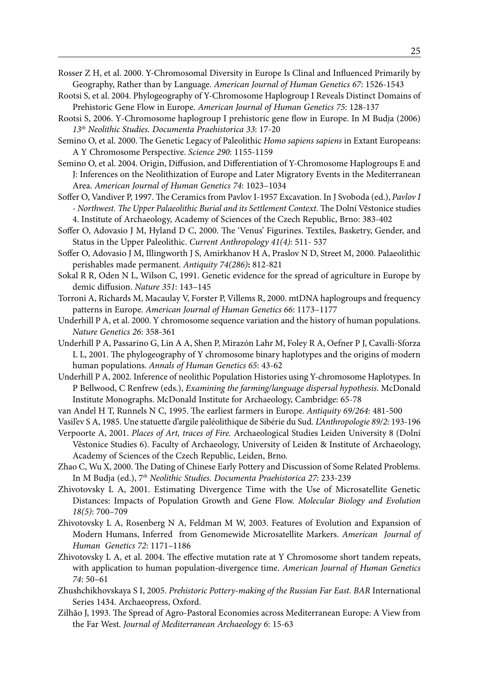Rosser Z H, et al. 2000. Y-Chromosomal Diversity in Europe Is Clinal and Influenced Primarily by Geography, Rather than by Language. *American Journal of Human Genetics 67*: 1526-1543

- Rootsi S, et al. 2004. Phylogeography of Y-Chromosome Haplogroup I Reveals Distinct Domains of Prehistoric Gene Flow in Europe. *American Journal of Human Genetics 75*: 128-137
- Rootsi S, 2006. Y-Chromosome haplogroup I prehistoric gene flow in Europe. In M Budja (2006) *13th Neolithic Studies. Documenta Praehistorica 33*: 17-20
- Semino O, et al. 2000. The Genetic Legacy of Paleolithic *Homo sapiens sapiens* in Extant Europeans: A Y Chromosome Perspective. *Science 290*: 1155-1159
- Semino O, et al. 2004. Origin, Diffusion, and Differentiation of Y-Chromosome Haplogroups E and J: Inferences on the Neolithization of Europe and Later Migratory Events in the Mediterranean Area. *American Journal of Human Genetics 74*: 1023–1034
- Soffer O, Vandiver P, 1997. The Ceramics from Pavlov I-1957 Excavation. In J Svoboda (ed.), *Pavlov I - Northwest. The Upper Palaeolithic Burial and its Settlement Context.* The Dolní Vĕstonice studies 4. Institute of Archaeology, Academy of Sciences of the Czech Republic, Brno: 383-402
- Soffer O, Adovasio J M, Hyland D C, 2000. The 'Venus' Figurines. Textiles, Basketry, Gender, and Status in the Upper Paleolithic. *Current Anthropology 41(4)*: 511- 537
- Soffer O, Adovasio J M, Illingworth J S, Amirkhanov H A, Praslov N D, Street M, 2000. Palaeolithic perishables made permanent. *Antiquity 74(286)***:** 812-821
- Sokal R R, Oden N L, Wilson C, 1991. Genetic evidence for the spread of agriculture in Europe by demic diffusion. *Nature 351*: 143–145
- Torroni A, Richards M, Macaulay V, Forster P, Villems R, 2000. mtDNA haplogroups and frequency patterns in Europe. *American Journal of Human Genetics 66*: 1173–1177
- Underhill P A, et al. 2000. Y chromosome sequence variation and the history of human populations. *Nature Genetics 26*: 358-361
- Underhill P A, Passarino G, Lin A A, Shen P, Mirazón Lahr M, Foley R A, Oefner P J, Cavalli-Sforza L L, 2001. The phylogeography of Y chromosome binary haplotypes and the origins of modern human populations. *Annals of Human Genetics 65*: 43-62
- Underhill P A, 2002. Inference of neolithic Population Histories using Y-chromosome Haplotypes. In P Bellwood, C Renfrew (eds.), *Examining the farming/language dispersal hypothesis*. McDonald Institute Monographs. McDonald Institute for Archaeology, Cambridge: 65-78
- van Andel H T, Runnels N C, 1995. The earliest farmers in Europe. *Antiquity 69/264*: 481-500
- Vasil'ev S A, 1985. Une statuette d'argile paléolithique de Sibérie du Sud. *L'Anthropologie 89/2*: 193-196
- Verpoorte A, 2001. *Places of Art, traces of Fire.* Archaeological Studies Leiden University 8 (Dolní Věstonice Studies 6). Faculty of Archaeology, University of Leiden & Institute of Archaeology, Academy of Sciences of the Czech Republic, Leiden, Brno.
- Zhao C, Wu X, 2000. The Dating of Chinese Early Pottery and Discussion of Some Related Problems. In M Budja (ed.), 7*th Neolithic Studies. Documenta Praehistorica 27*: 233-239
- Zhivotovsky L A, 2001. Estimating Divergence Time with the Use of Microsatellite Genetic Distances: Impacts of Population Growth and Gene Flow. *Molecular Biology and Evolution 18(5)*: 700–709
- Zhivotovsky L A, Rosenberg N A, Feldman M W, 2003. Features of Evolution and Expansion of Modern Humans, Inferred from Genomewide Microsatellite Markers. *American Journal of Human Genetics 72*: 1171–1186
- Zhivotovsky L A, et al. 2004. The effective mutation rate at Y Chromosome short tandem repeats, with application to human population-divergence time. *American Journal of Human Genetics 74*: 50–61
- Zhushchikhovskaya S I, 2005. *Prehistoric Pottery-making of the Russian Far East. BAR* International Series 1434. Archaeopress, Oxford.
- Zilhão J, 1993. The Spread of Agro-Pastoral Economies across Mediterranean Europe: A View from the Far West. *Journal of Mediterranean Archaeology 6*: 15-63